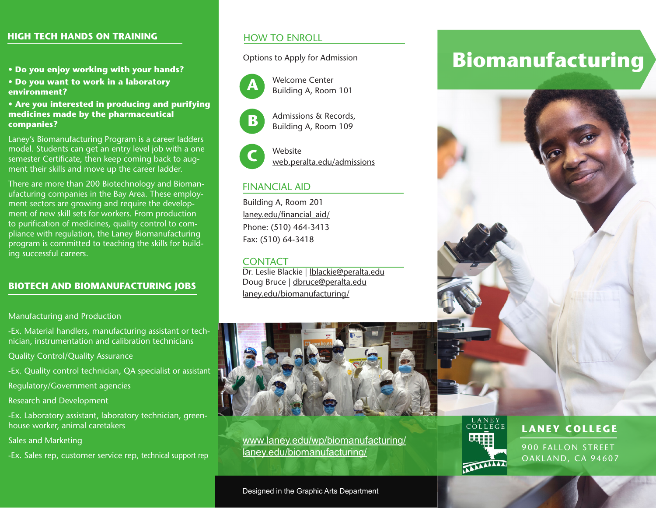#### **HIGH TECH HANDS ON TRAINING**

- **Do you enjoy working with your hands?**
- **Do you want to work in a laboratory environment?**

#### **• Are you interested in producing and purifying medicines made by the pharmaceutical companies?**

Laney's Biomanufacturing Program is a career ladders model. Students can get an entry level job with a one semester Certificate, then keep coming back to augment their skills and move up the career ladder.

There are more than 200 Biotechnology and Biomanufacturing companies in the Bay Area. These employment sectors are growing and require the development of new skill sets for workers. From production to purification of medicines, quality control to compliance with regulation, the Laney Biomanufacturing program is committed to teaching the skills for building successful careers.

#### **BIOTECH AND BIOMANUFACTURING JOBS**

Manufacturing and Production

-Ex. Material handlers, manufacturing assistant or technician, instrumentation and calibration technicians

Quality Control/Quality Assurance

-Ex. Quality control technician, QA specialist or assistant

Regulatory/Government agencies

Research and Development

-Ex. Laboratory assistant, laboratory technician, greenhouse worker, animal caretakers

Sales and Marketing

-Ex. Sales rep, customer service rep, technical support rep

#### HOW TO ENROLL

Options to Apply for Admission



**B**

Welcome Center Building A, Room 101

Admissions & Records, Building A, Room 109



**C** Website web.peralta.edu/admissions

#### FINANCIAL AID

Building A, Room 201 laney.edu/financial\_aid/ Phone: (510) 464-3413 Fax: (510) 64-3418

#### CONTACT

Dr. Leslie Blackie | lblackie@peralta.edu Doug Bruce | dbruce@peralta.edu laney.edu/biomanufacturing/



www.laney.edu/wp/biomanufacturing/ laney.edu/biomanufacturing/

# LANEY<br>COLLEGE **TALARIAN**

## **Biomanufacturing**



**LANEY COLLEGE**

900 FALLON STREET OAKLAND, CA 94607

Designed in the Graphic Arts Department